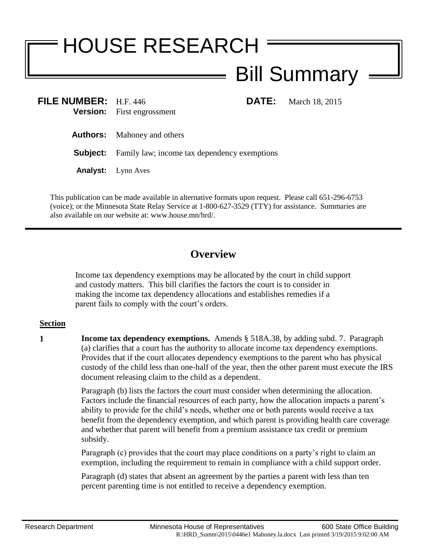## HOUSE RESEARCH Bill Summary

**FILE NUMBER:** H.F. 446 **DATE:** March 18, 2015 **Version:** First engrossment

**Authors:** Mahoney and others

**Subject:** Family law; income tax dependency exemptions

**Analyst:** Lynn Aves

This publication can be made available in alternative formats upon request. Please call 651-296-6753 (voice); or the Minnesota State Relay Service at 1-800-627-3529 (TTY) for assistance. Summaries are also available on our website at: www.house.mn/hrd/.

## **Overview**

Income tax dependency exemptions may be allocated by the court in child support and custody matters. This bill clarifies the factors the court is to consider in making the income tax dependency allocations and establishes remedies if a parent fails to comply with the court's orders.

## **Section**

**1 Income tax dependency exemptions.** Amends § 518A.38, by adding subd. 7. Paragraph (a) clarifies that a court has the authority to allocate income tax dependency exemptions. Provides that if the court allocates dependency exemptions to the parent who has physical custody of the child less than one-half of the year, then the other parent must execute the IRS document releasing claim to the child as a dependent.

> Paragraph (b) lists the factors the court must consider when determining the allocation. Factors include the financial resources of each party, how the allocation impacts a parent's ability to provide for the child's needs, whether one or both parents would receive a tax benefit from the dependency exemption, and which parent is providing health care coverage and whether that parent will benefit from a premium assistance tax credit or premium subsidy.

Paragraph (c) provides that the court may place conditions on a party's right to claim an exemption, including the requirement to remain in compliance with a child support order.

Paragraph (d) states that absent an agreement by the parties a parent with less than ten percent parenting time is not entitled to receive a dependency exemption.